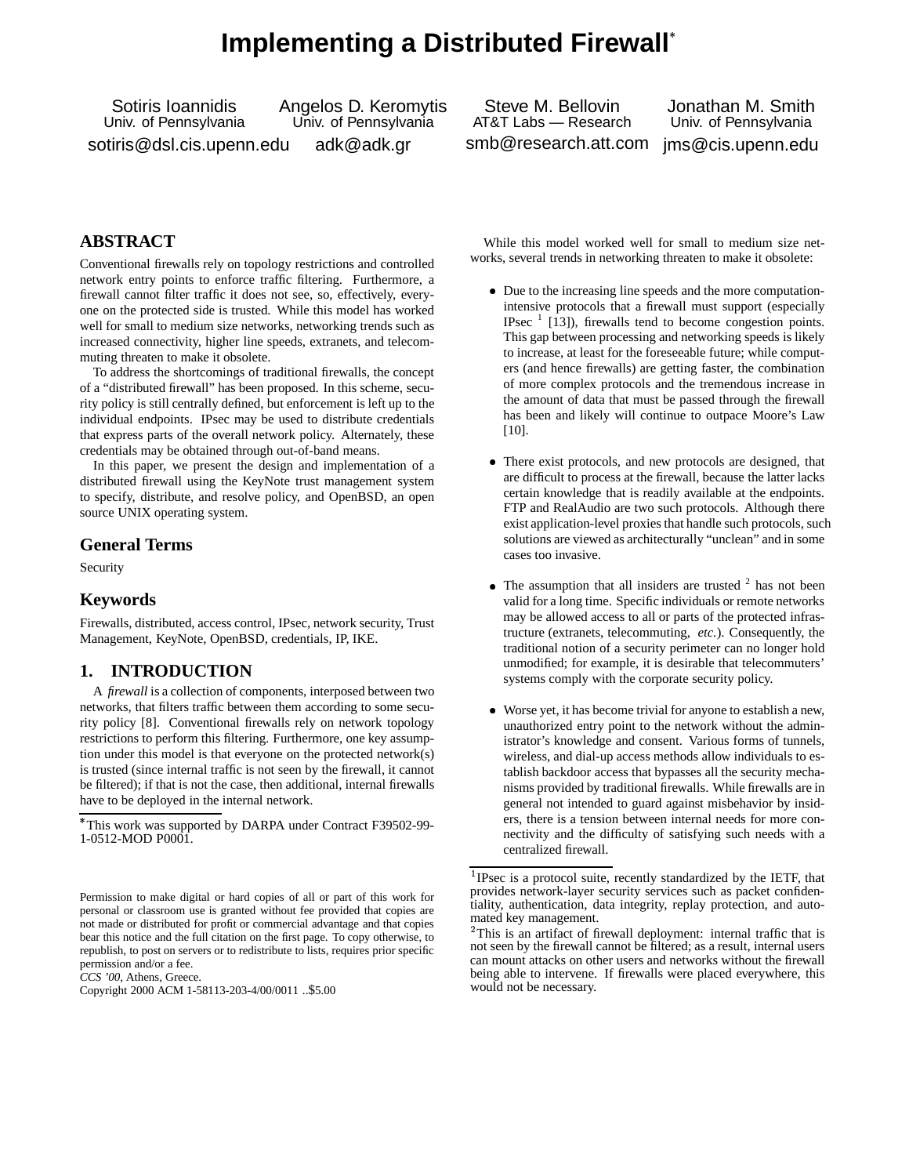# **Implementing a Distributed Firewall**

Sotiris Ioannidis Univ. of Pennsylvania

Angelos D. Keromytis Univ. of Pennsylvania adk@adk.gr

sotiris@dsl.cis.upenn.edu

# **ABSTRACT**

Conventional firewalls rely on topology restrictions and controlled network entry points to enforce traffic filtering. Furthermore, a firewall cannot filter traffic it does not see, so, effectively, everyone on the protected side is trusted. While this model has worked well for small to medium size networks, networking trends such as increased connectivity, higher line speeds, extranets, and telecommuting threaten to make it obsolete.

To address the shortcomings of traditional firewalls, the concept of a "distributed firewall" has been proposed. In this scheme, security policy is still centrally defined, but enforcement is left up to the individual endpoints. IPsec may be used to distribute credentials that express parts of the overall network policy. Alternately, these credentials may be obtained through out-of-band means.

In this paper, we present the design and implementation of a distributed firewall using the KeyNote trust management system to specify, distribute, and resolve policy, and OpenBSD, an open source UNIX operating system.

## **General Terms**

Security

## **Keywords**

Firewalls, distributed, access control, IPsec, network security, Trust Management, KeyNote, OpenBSD, credentials, IP, IKE.

## **1. INTRODUCTION**

A *firewall* is a collection of components, interposed between two networks, that filters traffic between them according to some security policy [8]. Conventional firewalls rely on network topology restrictions to perform this filtering. Furthermore, one key assumption under this model is that everyone on the protected network(s) is trusted (since internal traffic is not seen by the firewall, it cannot be filtered); if that is not the case, then additional, internal firewalls have to be deployed in the internal network.

*CCS '00,* Athens, Greece.

Copyright 2000 ACM 1-58113-203-4/00/0011 ..\$5.00

Steve M. Bellovin AT&T Labs — Research

smb@research.att.com jms@cis.upenn.edu Jonathan M. Smith Univ. of Pennsylvania

While this model worked well for small to medium size networks, several trends in networking threaten to make it obsolete:

- Due to the increasing line speeds and the more computationintensive protocols that a firewall must support (especially IPsec<sup>1</sup> [13]), firewalls tend to become congestion points. This gap between processing and networking speeds is likely to increase, at least for the foreseeable future; while computers (and hence firewalls) are getting faster, the combination of more complex protocols and the tremendous increase in the amount of data that must be passed through the firewall has been and likely will continue to outpace Moore's Law [10].
- There exist protocols, and new protocols are designed, that are difficult to process at the firewall, because the latter lacks certain knowledge that is readily available at the endpoints. FTP and RealAudio are two such protocols. Although there exist application-level proxies that handle such protocols, such solutions are viewed as architecturally "unclean" and in some cases too invasive.
- The assumption that all insiders are trusted  $2$  has not been valid for a long time. Specific individuals or remote networks may be allowed access to all or parts of the protected infrastructure (extranets, telecommuting, *etc.*). Consequently, the traditional notion of a security perimeter can no longer hold unmodified; for example, it is desirable that telecommuters' systems comply with the corporate security policy.
- Worse yet, it has become trivial for anyone to establish a new, unauthorized entry point to the network without the administrator's knowledge and consent. Various forms of tunnels, wireless, and dial-up access methods allow individuals to establish backdoor access that bypasses all the security mechanisms provided by traditional firewalls. While firewalls are in general not intended to guard against misbehavior by insiders, there is a tension between internal needs for more connectivity and the difficulty of satisfying such needs with a centralized firewall.

This work was supported by DARPA under Contract F39502-99- 1-0512-MOD P0001.

Permission to make digital or hard copies of all or part of this work for personal or classroom use is granted without fee provided that copies are not made or distributed for profit or commercial advantage and that copies bear this notice and the full citation on the first page. To copy otherwise, to republish, to post on servers or to redistribute to lists, requires prior specific permission and/or a fee.

<sup>&</sup>lt;sup>1</sup>IPsec is a protocol suite, recently standardized by the IETF, that provides network-layer security services such as packet confidentiality, authentication, data integrity, replay protection, and automated key management.

 $2$ This is an artifact of firewall deployment: internal traffic that is not seen by the firewall cannot be filtered; as a result, internal users can mount attacks on other users and networks without the firewall being able to intervene. If firewalls were placed everywhere, this would not be necessary.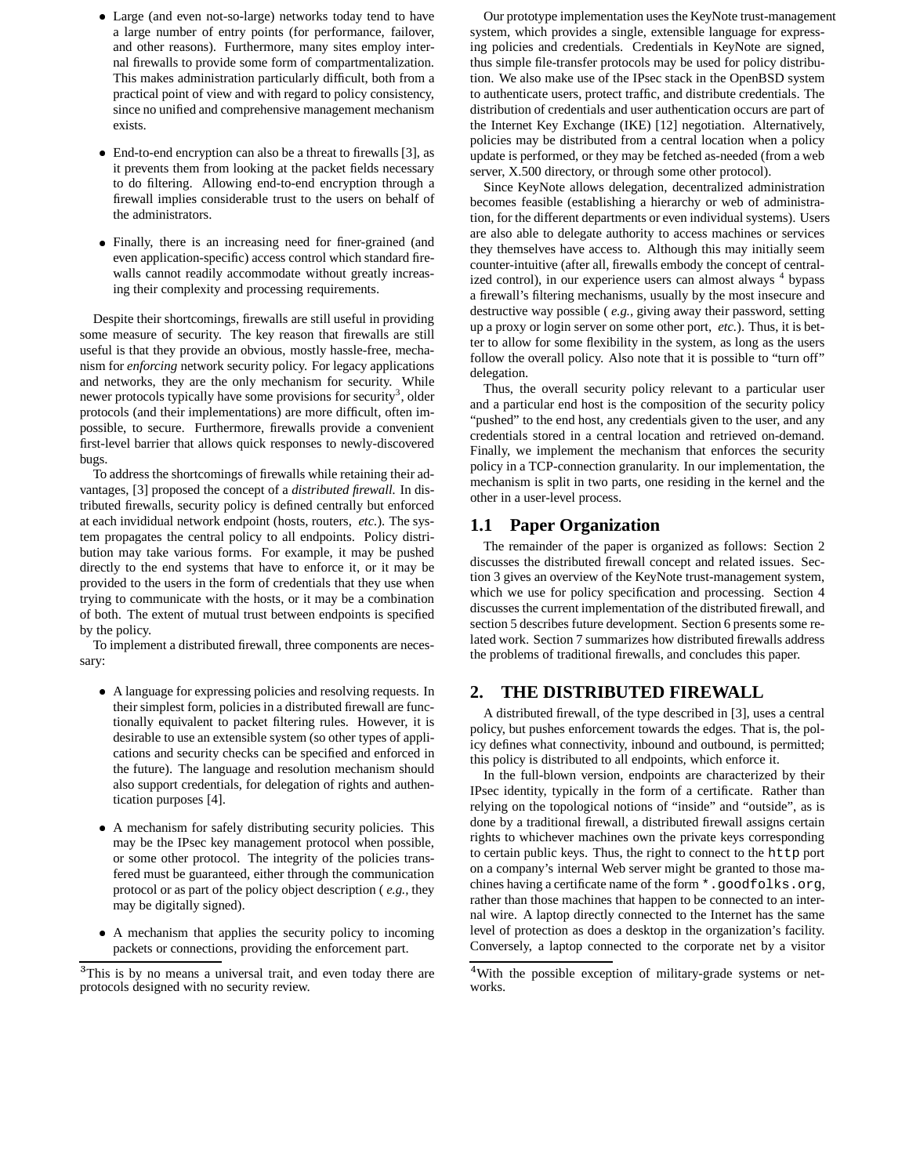- Large (and even not-so-large) networks today tend to have a large number of entry points (for performance, failover, and other reasons). Furthermore, many sites employ internal firewalls to provide some form of compartmentalization. This makes administration particularly difficult, both from a practical point of view and with regard to policy consistency, since no unified and comprehensive management mechanism exists.
- End-to-end encryption can also be a threat to firewalls [3], as it prevents them from looking at the packet fields necessary to do filtering. Allowing end-to-end encryption through a firewall implies considerable trust to the users on behalf of the administrators.
- Finally, there is an increasing need for finer-grained (and even application-specific) access control which standard firewalls cannot readily accommodate without greatly increasing their complexity and processing requirements.

Despite their shortcomings, firewalls are still useful in providing some measure of security. The key reason that firewalls are still useful is that they provide an obvious, mostly hassle-free, mechanism for *enforcing* network security policy. For legacy applications and networks, they are the only mechanism for security. While newer protocols typically have some provisions for security<sup>3</sup>, older protocols (and their implementations) are more difficult, often impossible, to secure. Furthermore, firewalls provide a convenient first-level barrier that allows quick responses to newly-discovered bugs.

To address the shortcomings of firewalls while retaining their advantages, [3] proposed the concept of a *distributed firewall.* In distributed firewalls, security policy is defined centrally but enforced at each invididual network endpoint (hosts, routers, *etc.*). The system propagates the central policy to all endpoints. Policy distribution may take various forms. For example, it may be pushed directly to the end systems that have to enforce it, or it may be provided to the users in the form of credentials that they use when trying to communicate with the hosts, or it may be a combination of both. The extent of mutual trust between endpoints is specified by the policy.

To implement a distributed firewall, three components are necessary:

- A language for expressing policies and resolving requests. In their simplest form, policies in a distributed firewall are functionally equivalent to packet filtering rules. However, it is desirable to use an extensible system (so other types of applications and security checks can be specified and enforced in the future). The language and resolution mechanism should also support credentials, for delegation of rights and authentication purposes [4].
- A mechanism for safely distributing security policies. This may be the IPsec key management protocol when possible, or some other protocol. The integrity of the policies transfered must be guaranteed, either through the communication protocol or as part of the policy object description ( *e.g.,* they may be digitally signed).
- A mechanism that applies the security policy to incoming packets or connections, providing the enforcement part.

Our prototype implementation uses the KeyNote trust-management system, which provides a single, extensible language for expressing policies and credentials. Credentials in KeyNote are signed, thus simple file-transfer protocols may be used for policy distribution. We also make use of the IPsec stack in the OpenBSD system to authenticate users, protect traffic, and distribute credentials. The distribution of credentials and user authentication occurs are part of the Internet Key Exchange (IKE) [12] negotiation. Alternatively, policies may be distributed from a central location when a policy update is performed, or they may be fetched as-needed (from a web server, X.500 directory, or through some other protocol).

Since KeyNote allows delegation, decentralized administration becomes feasible (establishing a hierarchy or web of administration, for the different departments or even individual systems). Users are also able to delegate authority to access machines or services they themselves have access to. Although this may initially seem counter-intuitive (after all, firewalls embody the concept of centralized control), in our experience users can almost always <sup>4</sup> bypass a firewall's filtering mechanisms, usually by the most insecure and destructive way possible ( *e.g.,* giving away their password, setting up a proxy or login server on some other port, *etc.*). Thus, it is better to allow for some flexibility in the system, as long as the users follow the overall policy. Also note that it is possible to "turn off" delegation.

Thus, the overall security policy relevant to a particular user and a particular end host is the composition of the security policy "pushed" to the end host, any credentials given to the user, and any credentials stored in a central location and retrieved on-demand. Finally, we implement the mechanism that enforces the security policy in a TCP-connection granularity. In our implementation, the mechanism is split in two parts, one residing in the kernel and the other in a user-level process.

#### **1.1 Paper Organization**

The remainder of the paper is organized as follows: Section 2 discusses the distributed firewall concept and related issues. Section 3 gives an overview of the KeyNote trust-management system, which we use for policy specification and processing. Section 4 discusses the current implementation of the distributed firewall, and section 5 describes future development. Section 6 presents some related work. Section 7 summarizes how distributed firewalls address the problems of traditional firewalls, and concludes this paper.

## **2. THE DISTRIBUTED FIREWALL**

A distributed firewall, of the type described in [3], uses a central policy, but pushes enforcement towards the edges. That is, the policy defines what connectivity, inbound and outbound, is permitted; this policy is distributed to all endpoints, which enforce it.

In the full-blown version, endpoints are characterized by their IPsec identity, typically in the form of a certificate. Rather than relying on the topological notions of "inside" and "outside", as is done by a traditional firewall, a distributed firewall assigns certain rights to whichever machines own the private keys corresponding to certain public keys. Thus, the right to connect to the http port on a company's internal Web server might be granted to those machines having a certificate name of the form \*.goodfolks.org, rather than those machines that happen to be connected to an internal wire. A laptop directly connected to the Internet has the same level of protection as does a desktop in the organization's facility. Conversely, a laptop connected to the corporate net by a visitor

<sup>&</sup>lt;sup>3</sup>This is by no means a universal trait, and even today there are protocols designed with no security review.

<sup>&</sup>lt;sup>4</sup>With the possible exception of military-grade systems or networks.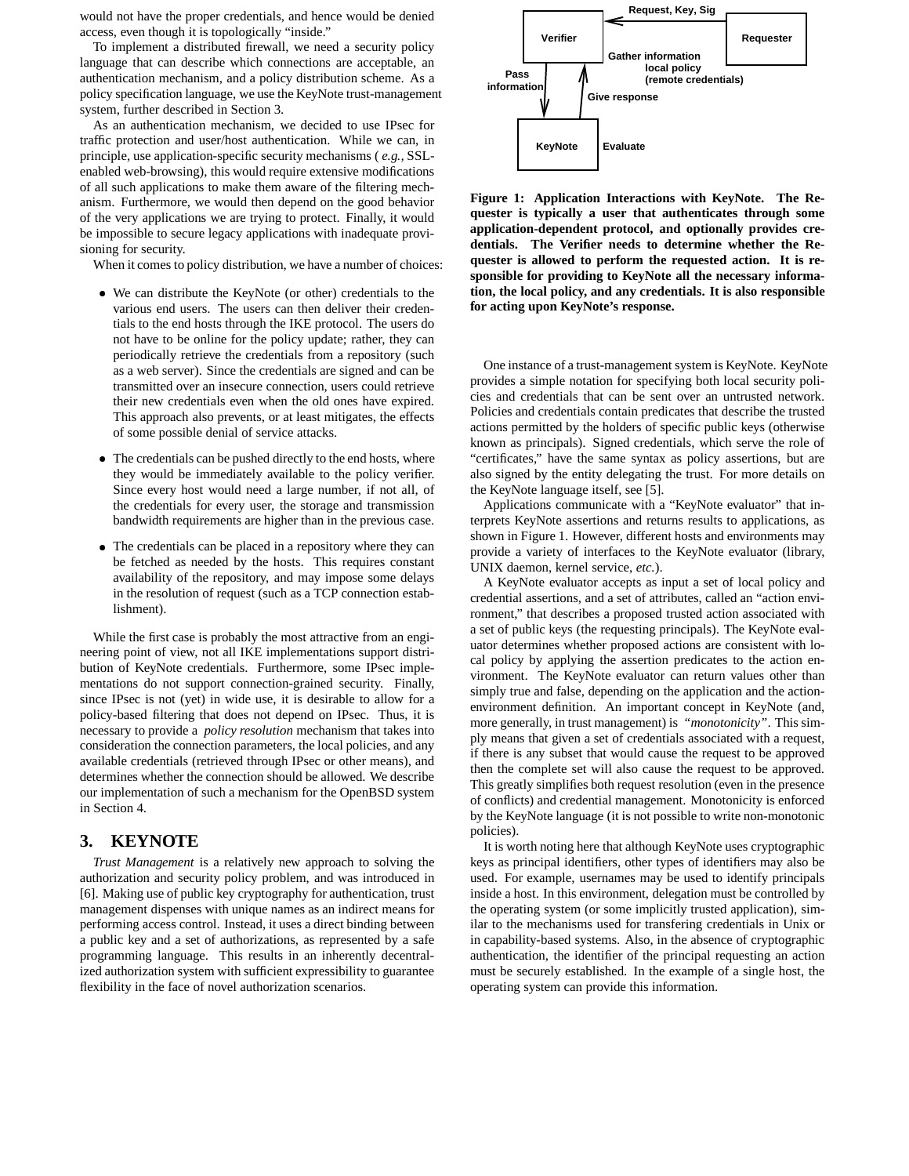would not have the proper credentials, and hence would be denied access, even though it is topologically "inside."

To implement a distributed firewall, we need a security policy language that can describe which connections are acceptable, an authentication mechanism, and a policy distribution scheme. As a policy specification language, we use the KeyNote trust-management system, further described in Section 3.

As an authentication mechanism, we decided to use IPsec for traffic protection and user/host authentication. While we can, in principle, use application-specific security mechanisms ( *e.g.,* SSLenabled web-browsing), this would require extensive modifications of all such applications to make them aware of the filtering mechanism. Furthermore, we would then depend on the good behavior of the very applications we are trying to protect. Finally, it would be impossible to secure legacy applications with inadequate provisioning for security.

When it comes to policy distribution, we have a number of choices:

- We can distribute the KeyNote (or other) credentials to the various end users. The users can then deliver their credentials to the end hosts through the IKE protocol. The users do not have to be online for the policy update; rather, they can periodically retrieve the credentials from a repository (such as a web server). Since the credentials are signed and can be transmitted over an insecure connection, users could retrieve their new credentials even when the old ones have expired. This approach also prevents, or at least mitigates, the effects of some possible denial of service attacks.
- The credentials can be pushed directly to the end hosts, where they would be immediately available to the policy verifier. Since every host would need a large number, if not all, of the credentials for every user, the storage and transmission bandwidth requirements are higher than in the previous case.
- The credentials can be placed in a repository where they can be fetched as needed by the hosts. This requires constant availability of the repository, and may impose some delays in the resolution of request (such as a TCP connection establishment).

While the first case is probably the most attractive from an engineering point of view, not all IKE implementations support distribution of KeyNote credentials. Furthermore, some IPsec implementations do not support connection-grained security. Finally, since IPsec is not (yet) in wide use, it is desirable to allow for a policy-based filtering that does not depend on IPsec. Thus, it is necessary to provide a *policy resolution* mechanism that takes into consideration the connection parameters, the local policies, and any available credentials (retrieved through IPsec or other means), and determines whether the connection should be allowed. We describe our implementation of such a mechanism for the OpenBSD system in Section 4.

## **3. KEYNOTE**

*Trust Management* is a relatively new approach to solving the authorization and security policy problem, and was introduced in [6]. Making use of public key cryptography for authentication, trust management dispenses with unique names as an indirect means for performing access control. Instead, it uses a direct binding between a public key and a set of authorizations, as represented by a safe programming language. This results in an inherently decentralized authorization system with sufficient expressibility to guarantee flexibility in the face of novel authorization scenarios.



**Figure 1: Application Interactions with KeyNote. The Requester is typically a user that authenticates through some application-dependent protocol, and optionally provides credentials. The Verifier needs to determine whether the Requester is allowed to perform the requested action. It is responsible for providing to KeyNote all the necessary information, the local policy, and any credentials. It is also responsible for acting upon KeyNote's response.**

One instance of a trust-management system is KeyNote. KeyNote provides a simple notation for specifying both local security policies and credentials that can be sent over an untrusted network. Policies and credentials contain predicates that describe the trusted actions permitted by the holders of specific public keys (otherwise known as principals). Signed credentials, which serve the role of "certificates," have the same syntax as policy assertions, but are also signed by the entity delegating the trust. For more details on the KeyNote language itself, see [5].

Applications communicate with a "KeyNote evaluator" that interprets KeyNote assertions and returns results to applications, as shown in Figure 1. However, different hosts and environments may provide a variety of interfaces to the KeyNote evaluator (library, UNIX daemon, kernel service, *etc.*).

A KeyNote evaluator accepts as input a set of local policy and credential assertions, and a set of attributes, called an "action environment," that describes a proposed trusted action associated with a set of public keys (the requesting principals). The KeyNote evaluator determines whether proposed actions are consistent with local policy by applying the assertion predicates to the action environment. The KeyNote evaluator can return values other than simply true and false, depending on the application and the actionenvironment definition. An important concept in KeyNote (and, more generally, in trust management) is *"monotonicity"*. This simply means that given a set of credentials associated with a request, if there is any subset that would cause the request to be approved then the complete set will also cause the request to be approved. This greatly simplifies both request resolution (even in the presence of conflicts) and credential management. Monotonicity is enforced by the KeyNote language (it is not possible to write non-monotonic policies).

It is worth noting here that although KeyNote uses cryptographic keys as principal identifiers, other types of identifiers may also be used. For example, usernames may be used to identify principals inside a host. In this environment, delegation must be controlled by the operating system (or some implicitly trusted application), similar to the mechanisms used for transfering credentials in Unix or in capability-based systems. Also, in the absence of cryptographic authentication, the identifier of the principal requesting an action must be securely established. In the example of a single host, the operating system can provide this information.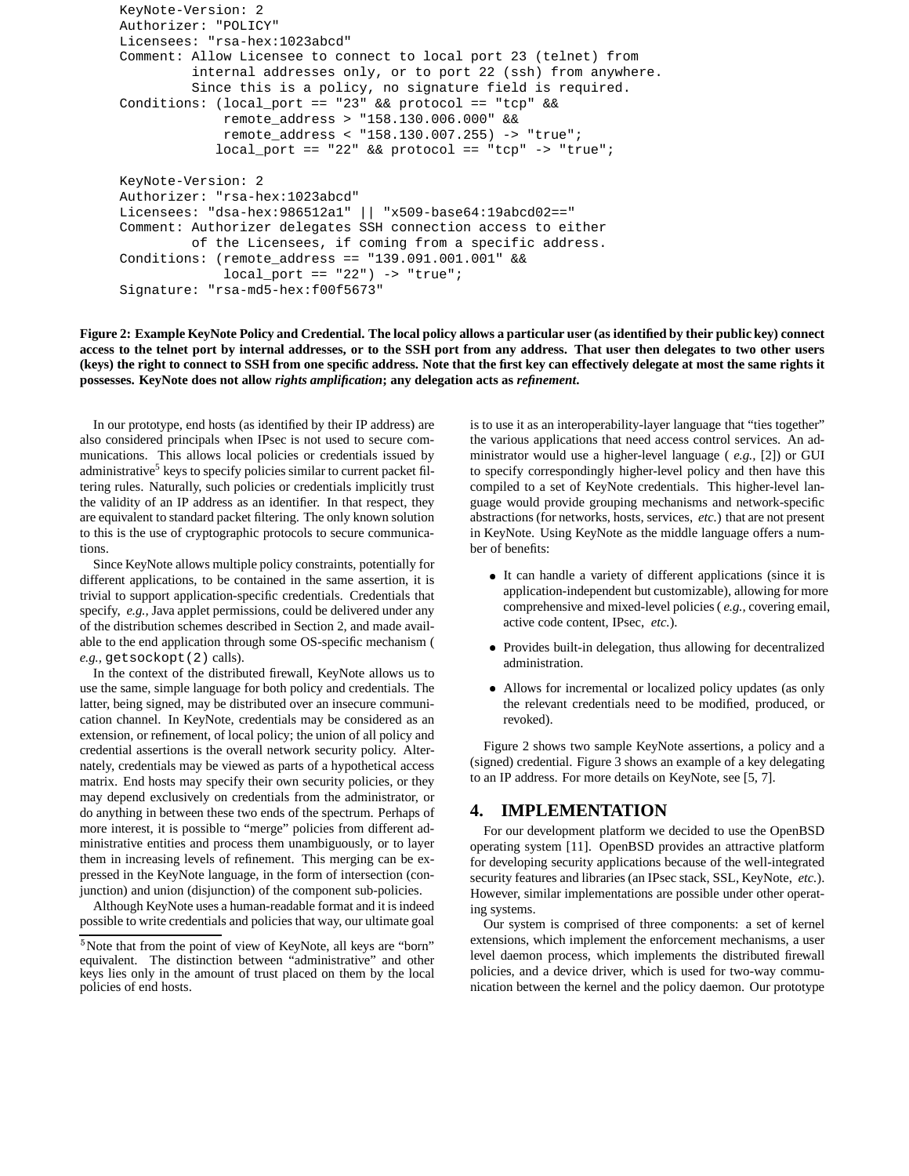```
KeyNote-Version: 2
Authorizer: "POLICY"
Licensees: "rsa-hex:1023abcd"
Comment: Allow Licensee to connect to local port 23 (telnet) from
         internal addresses only, or to port 22 (ssh) from anywhere.
         Since this is a policy, no signature field is required.
Conditions: (local_port == "23" && protocol == "tcp" &&
             remote_address > "158.130.006.000" &&
             remote_address < "158.130.007.255) -> "true";
            local_port == "22" && protocol == "tcp" -> "true";
KeyNote-Version: 2
Authorizer: "rsa-hex:1023abcd"
Licensees: "dsa-hex:986512a1" || "x509-base64:19abcd02=="
Comment: Authorizer delegates SSH connection access to either
         of the Licensees, if coming from a specific address.
Conditions: (remote_address == "139.091.001.001" &&
             local port == "22") -> "true";
Signature: "rsa-md5-hex:f00f5673"
```
Figure 2: Example KeyNote Policy and Credential. The local policy allows a particular user (as identified by their public key) connect access to the telnet port by internal addresses, or to the SSH port from any address. That user then delegates to two other users (keys) the right to connect to SSH from one specific address. Note that the first key can effectively delegate at most the same rights it **possesses. KeyNote does not allow** *rights amplification***; any delegation acts as** *refinement***.**

In our prototype, end hosts (as identified by their IP address) are also considered principals when IPsec is not used to secure communications. This allows local policies or credentials issued by administrative<sup>5</sup> keys to specify policies similar to current packet filtering rules. Naturally, such policies or credentials implicitly trust the validity of an IP address as an identifier. In that respect, they are equivalent to standard packet filtering. The only known solution to this is the use of cryptographic protocols to secure communications.

Since KeyNote allows multiple policy constraints, potentially for different applications, to be contained in the same assertion, it is trivial to support application-specific credentials. Credentials that specify, *e.g.,* Java applet permissions, could be delivered under any of the distribution schemes described in Section 2, and made available to the end application through some OS-specific mechanism ( *e.g.,* getsockopt(2) calls).

In the context of the distributed firewall, KeyNote allows us to use the same, simple language for both policy and credentials. The latter, being signed, may be distributed over an insecure communication channel. In KeyNote, credentials may be considered as an extension, or refinement, of local policy; the union of all policy and credential assertions is the overall network security policy. Alternately, credentials may be viewed as parts of a hypothetical access matrix. End hosts may specify their own security policies, or they may depend exclusively on credentials from the administrator, or do anything in between these two ends of the spectrum. Perhaps of more interest, it is possible to "merge" policies from different administrative entities and process them unambiguously, or to layer them in increasing levels of refinement. This merging can be expressed in the KeyNote language, in the form of intersection (conjunction) and union (disjunction) of the component sub-policies.

Although KeyNote uses a human-readable format and it is indeed possible to write credentials and policies that way, our ultimate goal is to use it as an interoperability-layer language that "ties together" the various applications that need access control services. An administrator would use a higher-level language ( *e.g.,* [2]) or GUI to specify correspondingly higher-level policy and then have this compiled to a set of KeyNote credentials. This higher-level language would provide grouping mechanisms and network-specific abstractions (for networks, hosts, services, *etc.*) that are not present in KeyNote. Using KeyNote as the middle language offers a number of benefits:

- It can handle a variety of different applications (since it is application-independent but customizable), allowing for more comprehensive and mixed-level policies( *e.g.,* covering email, active code content, IPsec, *etc.*).
- Provides built-in delegation, thus allowing for decentralized administration.
- Allows for incremental or localized policy updates (as only the relevant credentials need to be modified, produced, or revoked).

Figure 2 shows two sample KeyNote assertions, a policy and a (signed) credential. Figure 3 shows an example of a key delegating to an IP address. For more details on KeyNote, see [5, 7].

## **4. IMPLEMENTATION**

For our development platform we decided to use the OpenBSD operating system [11]. OpenBSD provides an attractive platform for developing security applications because of the well-integrated security features and libraries (an IPsec stack, SSL, KeyNote, *etc.*). However, similar implementations are possible under other operating systems.

Our system is comprised of three components: a set of kernel extensions, which implement the enforcement mechanisms, a user level daemon process, which implements the distributed firewall policies, and a device driver, which is used for two-way communication between the kernel and the policy daemon. Our prototype

<sup>&</sup>lt;sup>5</sup>Note that from the point of view of KeyNote, all keys are "born" equivalent. The distinction between "administrative" and other keys lies only in the amount of trust placed on them by the local policies of end hosts.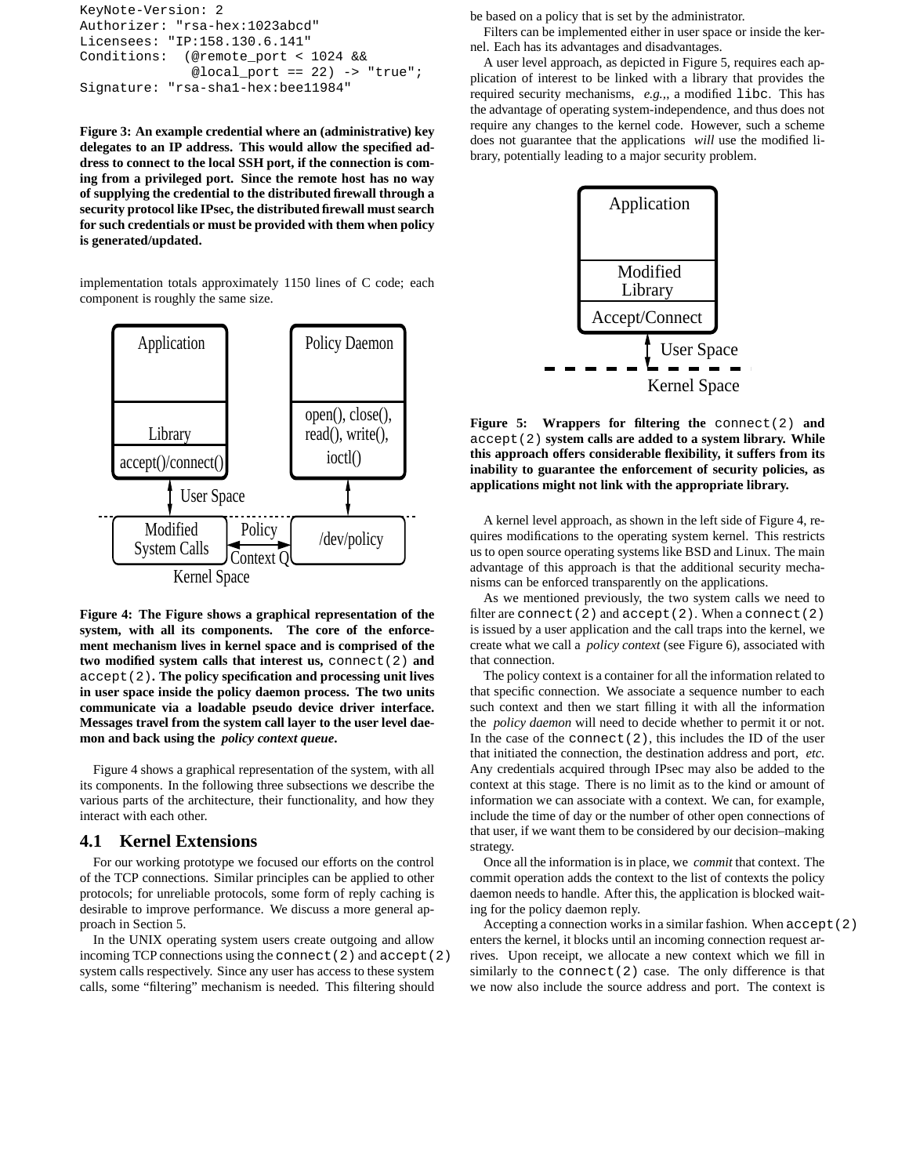```
KeyNote-Version: 2
Authorizer: "rsa-hex:1023abcd"
Licensees: "IP:158.130.6.141"
Conditions: (@remote_port < 1024 &&
               \text{\textdegree{local}} port == 22) -> "true";
Signature: "rsa-sha1-hex:bee11984"
```
**Figure 3: An example credential where an (administrative) key delegates to an IP address. This would allow the specified address to connect to the local SSH port, if the connection is coming from a privileged port. Since the remote host has no way of supplying the credential to the distributed firewall through a security protocol like IPsec, the distributed firewall mustsearch for such credentials or must be provided with them when policy is generated/updated.**

implementation totals approximately 1150 lines of C code; each component is roughly the same size.



**Figure 4: The Figure shows a graphical representation of the system, with all its components. The core of the enforcement mechanism lives in kernel space and is comprised of the two modified system calls that interest us,** connect(2) **and** accept(2)**. The policy specification and processing unit lives in user space inside the policy daemon process. The two units communicate via a loadable pseudo device driver interface. Messages travel from the system call layer to the user level daemon and back using the** *policy context queue***.**

Figure 4 shows a graphical representation of the system, with all its components. In the following three subsections we describe the various parts of the architecture, their functionality, and how they interact with each other.

#### **4.1 Kernel Extensions**

For our working prototype we focused our efforts on the control of the TCP connections. Similar principles can be applied to other protocols; for unreliable protocols, some form of reply caching is desirable to improve performance. We discuss a more general approach in Section 5.

In the UNIX operating system users create outgoing and allow incoming TCP connections using the connect (2) and accept (2) system calls respectively. Since any user has access to these system calls, some "filtering" mechanism is needed. This filtering should

be based on a policy that is set by the administrator.

Filters can be implemented either in user space or inside the kernel. Each has its advantages and disadvantages.

A user level approach, as depicted in Figure 5, requires each application of interest to be linked with a library that provides the required security mechanisms, *e.g.,*, a modified libc. This has the advantage of operating system-independence, and thus does not require any changes to the kernel code. However, such a scheme does not guarantee that the applications *will* use the modified library, potentially leading to a major security problem.



**Figure 5: Wrappers for filtering the** connect(2) **and** accept(2) **system calls are added to a system library. While this approach offers considerable flexibility, it suffers from its inability to guarantee the enforcement of security policies, as applications might not link with the appropriate library.**

A kernel level approach, as shown in the left side of Figure 4, requires modifications to the operating system kernel. This restricts us to open source operating systems like BSD and Linux. The main advantage of this approach is that the additional security mechanisms can be enforced transparently on the applications.

As we mentioned previously, the two system calls we need to filter are connect(2) and accept(2). When a connect(2) is issued by a user application and the call traps into the kernel, we create what we call a *policy context* (see Figure 6), associated with that connection.

The policy context is a container for all the information related to that specific connection. We associate a sequence number to each such context and then we start filling it with all the information the *policy daemon* will need to decide whether to permit it or not. In the case of the connect  $(2)$ , this includes the ID of the user that initiated the connection, the destination address and port, *etc.* Any credentials acquired through IPsec may also be added to the context at this stage. There is no limit as to the kind or amount of information we can associate with a context. We can, for example, include the time of day or the number of other open connections of that user, if we want them to be considered by our decision–making strategy.

Once all the information isin place, we *commit* that context. The commit operation adds the context to the list of contexts the policy daemon needs to handle. After this, the application is blocked waiting for the policy daemon reply.

Accepting a connection works in a similar fashion. When accept(2) enters the kernel, it blocks until an incoming connection request arrives. Upon receipt, we allocate a new context which we fill in similarly to the connect (2) case. The only difference is that we now also include the source address and port. The context is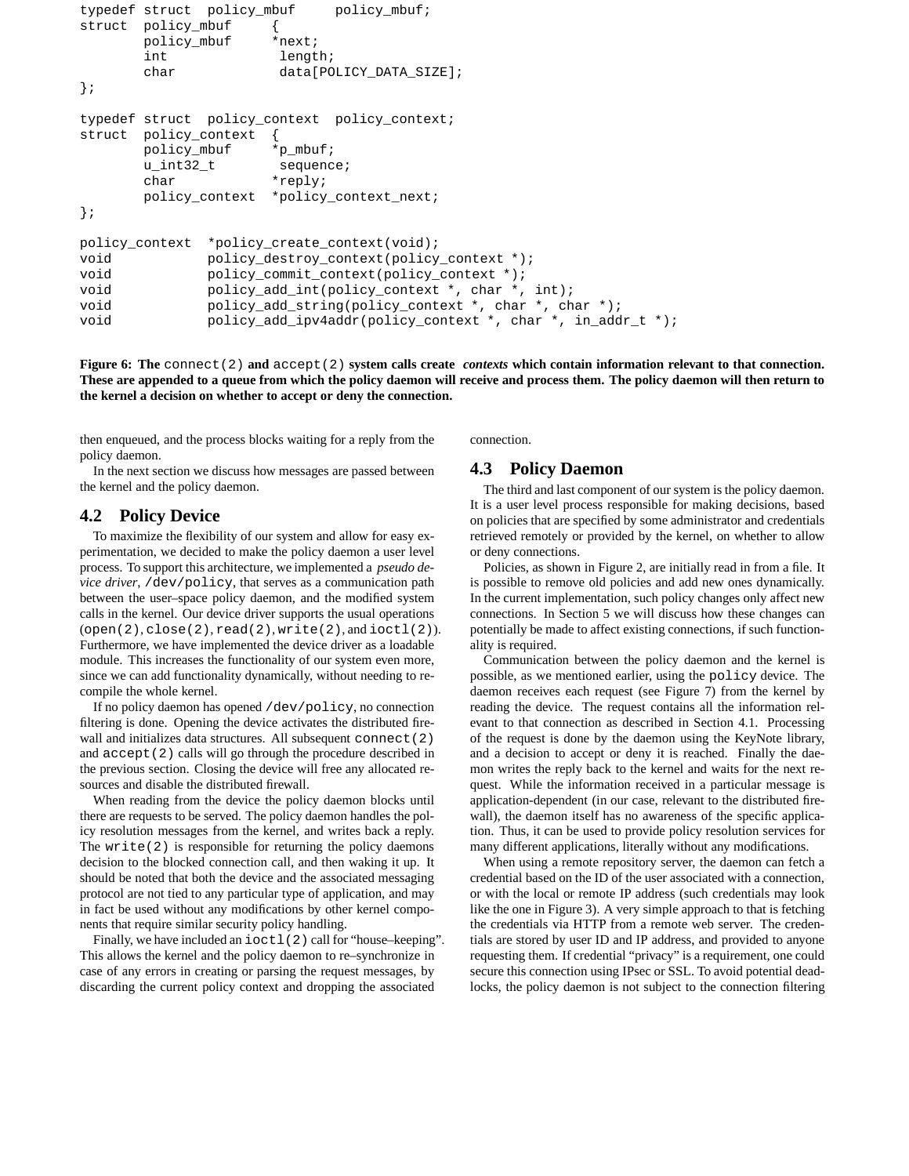```
typedef struct policy_mbuf policy_mbuf;
struct policy_mbuf {
      policy_mbuf *next;
      int length;
      char data[POLICY_DATA_SIZE];
};
typedef struct policy_context policy_context;
struct policy_context {
      policy_mbuf *p_mbuf;
      u_int32_t sequence;
      char *reply;
      policy_context *policy_context_next;
};
policy context *policy create context(void);
void policy destroy context(policy context *);
void policy commit context(policy context *);
void policy_add_int(policy_context *, char *, int);
void policy_add_string(policy_context *, char *, char *);
void policy add_ipv4addr(policy_context *, char *, in_addr_t *);
```
Figure 6: The connect (2) and  $accept(2)$  system calls create *contexts* which contain information relevant to that connection. These are appended to a queue from which the policy daemon will receive and process them. The policy daemon will then return to **the kernel a decision on whether to accept or deny the connection.**

then enqueued, and the process blocks waiting for a reply from the policy daemon.

In the next section we discuss how messages are passed between the kernel and the policy daemon.

## **4.2 Policy Device**

To maximize the flexibility of our system and allow for easy experimentation, we decided to make the policy daemon a user level process. To support this architecture, we implemented a *pseudo device driver*, /dev/policy, that serves as a communication path between the user–space policy daemon, and the modified system calls in the kernel. Our device driver supports the usual operations  $(open (2), close (2), read (2), write (2), and *ioctl(2)*).$ Furthermore, we have implemented the device driver as a loadable module. This increases the functionality of our system even more, since we can add functionality dynamically, without needing to recompile the whole kernel.

If no policy daemon has opened /dev/policy, no connection filtering is done. Opening the device activates the distributed firewall and initializes data structures. All subsequent connect (2) and accept(2) calls will go through the procedure described in the previous section. Closing the device will free any allocated resources and disable the distributed firewall.

When reading from the device the policy daemon blocks until there are requests to be served. The policy daemon handles the policy resolution messages from the kernel, and writes back a reply. The  $write(2)$  is responsible for returning the policy daemons decision to the blocked connection call, and then waking it up. It should be noted that both the device and the associated messaging protocol are not tied to any particular type of application, and may in fact be used without any modifications by other kernel components that require similar security policy handling.

Finally, we have included an ioctl(2) call for "house–keeping". This allows the kernel and the policy daemon to re–synchronize in case of any errors in creating or parsing the request messages, by discarding the current policy context and dropping the associated

connection.

## **4.3 Policy Daemon**

The third and last component of our system is the policy daemon. It is a user level process responsible for making decisions, based on policies that are specified by some administrator and credentials retrieved remotely or provided by the kernel, on whether to allow or deny connections.

Policies, as shown in Figure 2, are initially read in from a file. It is possible to remove old policies and add new ones dynamically. In the current implementation, such policy changes only affect new connections. In Section 5 we will discuss how these changes can potentially be made to affect existing connections, if such functionality is required.

Communication between the policy daemon and the kernel is possible, as we mentioned earlier, using the policy device. The daemon receives each request (see Figure 7) from the kernel by reading the device. The request contains all the information relevant to that connection as described in Section 4.1. Processing of the request is done by the daemon using the KeyNote library, and a decision to accept or deny it is reached. Finally the daemon writes the reply back to the kernel and waits for the next request. While the information received in a particular message is application-dependent (in our case, relevant to the distributed firewall), the daemon itself has no awareness of the specific application. Thus, it can be used to provide policy resolution services for many different applications, literally without any modifications.

When using a remote repository server, the daemon can fetch a credential based on the ID of the user associated with a connection, or with the local or remote IP address (such credentials may look like the one in Figure 3). A very simple approach to that is fetching the credentials via HTTP from a remote web server. The credentials are stored by user ID and IP address, and provided to anyone requesting them. If credential "privacy" is a requirement, one could secure this connection using IPsec or SSL. To avoid potential deadlocks, the policy daemon is not subject to the connection filtering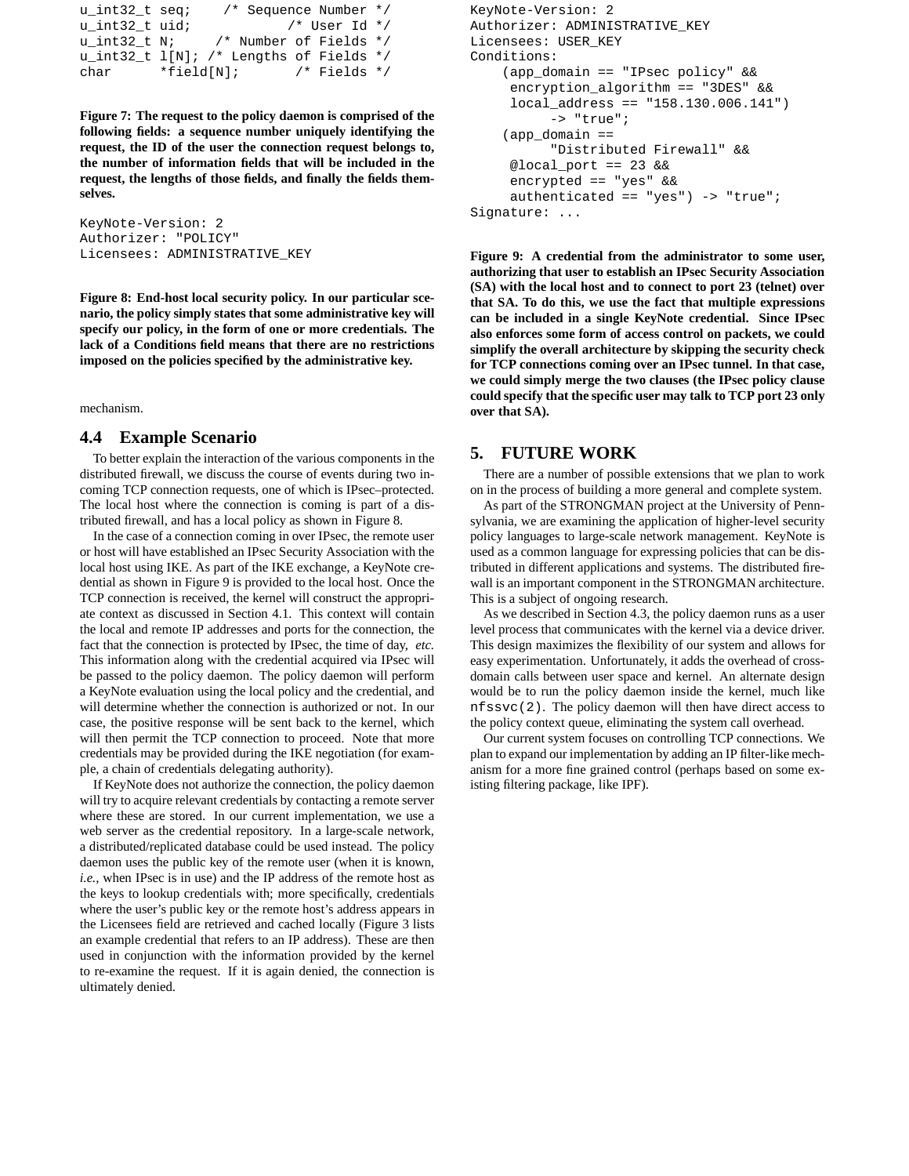```
u_int32_t seq; /* Sequence Number */
u_int32_t uid; /* User Id */
u_int32_t N; /* Number of Fields */
u_int32_t l[N]; /* Lengths of Fields */
char *field[N]; /* Fields */
```
**Figure 7: The request to the policy daemon is comprised of the following fields: a sequence number uniquely identifying the request, the ID of the user the connection request belongs to, the number of information fields that will be included in the request, the lengths of those fields, and finally the fields themselves.**

KeyNote-Version: 2 Authorizer: "POLICY" Licensees: ADMINISTRATIVE\_KEY

**Figure 8: End-host local security policy. In our particular scenario, the policy simply states that some administrative key will specify our policy, in the form of one or more credentials. The lack of a Conditions field means that there are no restrictions imposed on the policies specified by the administrative key.**

mechanism.

#### **4.4 Example Scenario**

To better explain the interaction of the various components in the distributed firewall, we discuss the course of events during two incoming TCP connection requests, one of which is IPsec–protected. The local host where the connection is coming is part of a distributed firewall, and has a local policy as shown in Figure 8.

In the case of a connection coming in over IPsec, the remote user or host will have established an IPsec Security Association with the local host using IKE. As part of the IKE exchange, a KeyNote credential as shown in Figure 9 is provided to the local host. Once the TCP connection is received, the kernel will construct the appropriate context as discussed in Section 4.1. This context will contain the local and remote IP addresses and ports for the connection, the fact that the connection is protected by IPsec, the time of day, *etc.* This information along with the credential acquired via IPsec will be passed to the policy daemon. The policy daemon will perform a KeyNote evaluation using the local policy and the credential, and will determine whether the connection is authorized or not. In our case, the positive response will be sent back to the kernel, which will then permit the TCP connection to proceed. Note that more credentials may be provided during the IKE negotiation (for example, a chain of credentials delegating authority).

If KeyNote does not authorize the connection, the policy daemon will try to acquire relevant credentials by contacting a remote server where these are stored. In our current implementation, we use a web server as the credential repository. In a large-scale network, a distributed/replicated database could be used instead. The policy daemon uses the public key of the remote user (when it is known, *i.e.,* when IPsec is in use) and the IP address of the remote host as the keys to lookup credentials with; more specifically, credentials where the user's public key or the remote host's address appears in the Licensees field are retrieved and cached locally (Figure 3 lists an example credential that refers to an IP address). These are then used in conjunction with the information provided by the kernel to re-examine the request. If it is again denied, the connection is ultimately denied.

```
KeyNote-Version: 2
Authorizer: ADMINISTRATIVE_KEY
Licensees: USER_KEY
Conditions:
    (app_domain == "IPsec policy" &&
     encryption_algorithm == "3DES" &&
     local_address == "158.130.006.141")
          -> "true";
    (app_domain ==
          "Distributed Firewall" &&
     @local_port == 23 &&
     encrypted == "yes" &&
     authenticated == "yes") -> "true";
Signature: ...
```
**Figure 9: A credential from the administrator to some user, authorizing that user to establish an IPsec Security Association (SA) with the local host and to connect to port 23 (telnet) over that SA. To do this, we use the fact that multiple expressions can be included in a single KeyNote credential. Since IPsec also enforces some form of access control on packets, we could simplify the overall architecture by skipping the security check for TCP connections coming over an IPsec tunnel. In that case, we could simply merge the two clauses (the IPsec policy clause could specify that the specific user may talk to TCP port 23 only over that SA).**

## **5. FUTURE WORK**

There are a number of possible extensions that we plan to work on in the process of building a more general and complete system.

As part of the STRONGMAN project at the University of Pennsylvania, we are examining the application of higher-level security policy languages to large-scale network management. KeyNote is used as a common language for expressing policies that can be distributed in different applications and systems. The distributed firewall is an important component in the STRONGMAN architecture. This is a subject of ongoing research.

As we described in Section 4.3, the policy daemon runs as a user level process that communicates with the kernel via a device driver. This design maximizes the flexibility of our system and allows for easy experimentation. Unfortunately, it adds the overhead of crossdomain calls between user space and kernel. An alternate design would be to run the policy daemon inside the kernel, much like nfssvc(2). The policy daemon will then have direct access to the policy context queue, eliminating the system call overhead.

Our current system focuses on controlling TCP connections. We plan to expand our implementation by adding an IP filter-like mechanism for a more fine grained control (perhaps based on some existing filtering package, like IPF).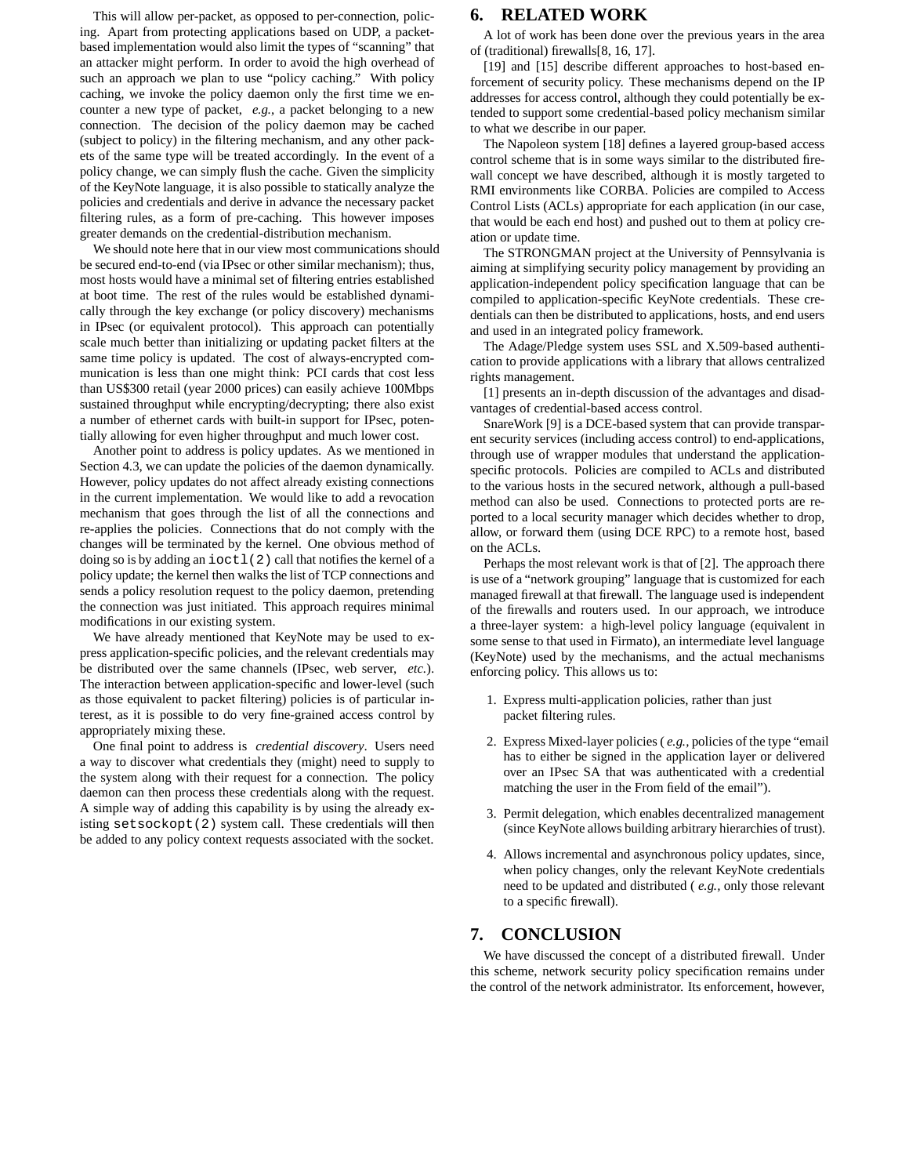This will allow per-packet, as opposed to per-connection, policing. Apart from protecting applications based on UDP, a packetbased implementation would also limit the types of "scanning" that an attacker might perform. In order to avoid the high overhead of such an approach we plan to use "policy caching." With policy caching, we invoke the policy daemon only the first time we encounter a new type of packet, *e.g.*, a packet belonging to a new connection. The decision of the policy daemon may be cached (subject to policy) in the filtering mechanism, and any other packets of the same type will be treated accordingly. In the event of a policy change, we can simply flush the cache. Given the simplicity of the KeyNote language, it is also possible to statically analyze the policies and credentials and derive in advance the necessary packet filtering rules, as a form of pre-caching. This however imposes greater demands on the credential-distribution mechanism.

We should note here that in our view most communications should be secured end-to-end (via IPsec or other similar mechanism); thus, most hosts would have a minimal set of filtering entries established at boot time. The rest of the rules would be established dynamically through the key exchange (or policy discovery) mechanisms in IPsec (or equivalent protocol). This approach can potentially scale much better than initializing or updating packet filters at the same time policy is updated. The cost of always-encrypted communication is less than one might think: PCI cards that cost less than US\$300 retail (year 2000 prices) can easily achieve 100Mbps sustained throughput while encrypting/decrypting; there also exist a number of ethernet cards with built-in support for IPsec, potentially allowing for even higher throughput and much lower cost.

Another point to address is policy updates. As we mentioned in Section 4.3, we can update the policies of the daemon dynamically. However, policy updates do not affect already existing connections in the current implementation. We would like to add a revocation mechanism that goes through the list of all the connections and re-applies the policies. Connections that do not comply with the changes will be terminated by the kernel. One obvious method of doing so is by adding an ioctl $(2)$  call that notifies the kernel of a policy update; the kernel then walks the list of TCP connections and sends a policy resolution request to the policy daemon, pretending the connection was just initiated. This approach requires minimal modifications in our existing system.

We have already mentioned that KeyNote may be used to express application-specific policies, and the relevant credentials may be distributed over the same channels (IPsec, web server, *etc.*). The interaction between application-specific and lower-level (such as those equivalent to packet filtering) policies is of particular interest, as it is possible to do very fine-grained access control by appropriately mixing these.

One final point to address is *credential discovery*. Users need a way to discover what credentials they (might) need to supply to the system along with their request for a connection. The policy daemon can then process these credentials along with the request. A simple way of adding this capability is by using the already existing setsockopt(2) system call. These credentials will then be added to any policy context requests associated with the socket.

#### **6. RELATED WORK**

A lot of work has been done over the previous years in the area of (traditional) firewalls[8, 16, 17].

[19] and [15] describe different approaches to host-based enforcement of security policy. These mechanisms depend on the IP addresses for access control, although they could potentially be extended to support some credential-based policy mechanism similar to what we describe in our paper.

The Napoleon system [18] defines a layered group-based access control scheme that is in some ways similar to the distributed firewall concept we have described, although it is mostly targeted to RMI environments like CORBA. Policies are compiled to Access Control Lists (ACLs) appropriate for each application (in our case, that would be each end host) and pushed out to them at policy creation or update time.

The STRONGMAN project at the University of Pennsylvania is aiming at simplifying security policy management by providing an application-independent policy specification language that can be compiled to application-specific KeyNote credentials. These credentials can then be distributed to applications, hosts, and end users and used in an integrated policy framework.

The Adage/Pledge system uses SSL and X.509-based authentication to provide applications with a library that allows centralized rights management.

[1] presents an in-depth discussion of the advantages and disadvantages of credential-based access control.

SnareWork [9] is a DCE-based system that can provide transparent security services (including access control) to end-applications, through use of wrapper modules that understand the applicationspecific protocols. Policies are compiled to ACLs and distributed to the various hosts in the secured network, although a pull-based method can also be used. Connections to protected ports are reported to a local security manager which decides whether to drop, allow, or forward them (using DCE RPC) to a remote host, based on the ACLs.

Perhaps the most relevant work is that of [2]. The approach there is use of a "network grouping" language that is customized for each managed firewall at that firewall. The language used is independent of the firewalls and routers used. In our approach, we introduce a three-layer system: a high-level policy language (equivalent in some sense to that used in Firmato), an intermediate level language (KeyNote) used by the mechanisms, and the actual mechanisms enforcing policy. This allows us to:

- 1. Express multi-application policies, rather than just packet filtering rules.
- 2. Express Mixed-layer policies ( *e.g.,* policies of the type "email has to either be signed in the application layer or delivered over an IPsec SA that was authenticated with a credential matching the user in the From field of the email").
- 3. Permit delegation, which enables decentralized management (since KeyNote allows building arbitrary hierarchies of trust).
- 4. Allows incremental and asynchronous policy updates, since, when policy changes, only the relevant KeyNote credentials need to be updated and distributed ( *e.g.,* only those relevant to a specific firewall).

## **7. CONCLUSION**

We have discussed the concept of a distributed firewall. Under this scheme, network security policy specification remains under the control of the network administrator. Its enforcement, however,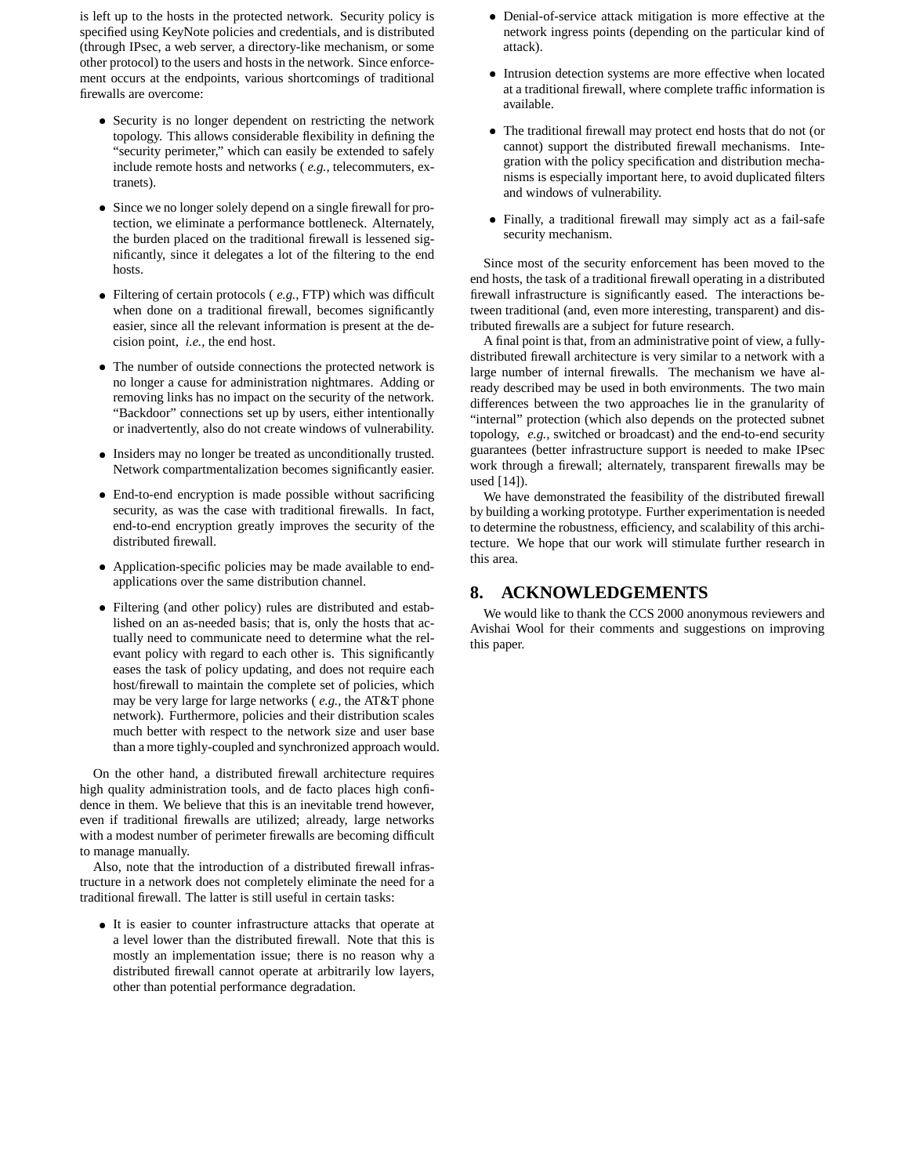is left up to the hosts in the protected network. Security policy is specified using KeyNote policies and credentials, and is distributed (through IPsec, a web server, a directory-like mechanism, or some other protocol) to the users and hosts in the network. Since enforcement occurs at the endpoints, various shortcomings of traditional firewalls are overcome:

- Security is no longer dependent on restricting the network topology. This allows considerable flexibility in defining the "security perimeter," which can easily be extended to safely include remote hosts and networks ( *e.g.,* telecommuters, extranets).
- Since we no longer solely depend on a single firewall for protection, we eliminate a performance bottleneck. Alternately, the burden placed on the traditional firewall is lessened significantly, since it delegates a lot of the filtering to the end hosts.
- Filtering of certain protocols ( *e.g.,* FTP) which was difficult when done on a traditional firewall, becomes significantly easier, since all the relevant information is present at the decision point, *i.e.,* the end host.
- The number of outside connections the protected network is no longer a cause for administration nightmares. Adding or removing links has no impact on the security of the network. "Backdoor" connections set up by users, either intentionally or inadvertently, also do not create windows of vulnerability.
- Insiders may no longer be treated as unconditionally trusted. Network compartmentalization becomes significantly easier.
- End-to-end encryption is made possible without sacrificing security, as was the case with traditional firewalls. In fact, end-to-end encryption greatly improves the security of the distributed firewall.
- Application-specific policies may be made available to endapplications over the same distribution channel.
- Filtering (and other policy) rules are distributed and established on an as-needed basis; that is, only the hosts that actually need to communicate need to determine what the relevant policy with regard to each other is. This significantly eases the task of policy updating, and does not require each host/firewall to maintain the complete set of policies, which may be very large for large networks ( *e.g.,* the AT&T phone network). Furthermore, policies and their distribution scales much better with respect to the network size and user base than a more tighly-coupled and synchronized approach would.

On the other hand, a distributed firewall architecture requires high quality administration tools, and de facto places high confidence in them. We believe that this is an inevitable trend however, even if traditional firewalls are utilized; already, large networks with a modest number of perimeter firewalls are becoming difficult to manage manually.

Also, note that the introduction of a distributed firewall infrastructure in a network does not completely eliminate the need for a traditional firewall. The latter is still useful in certain tasks:

 It is easier to counter infrastructure attacks that operate at a level lower than the distributed firewall. Note that this is mostly an implementation issue; there is no reason why a distributed firewall cannot operate at arbitrarily low layers, other than potential performance degradation.

- Denial-of-service attack mitigation is more effective at the network ingress points (depending on the particular kind of attack).
- Intrusion detection systems are more effective when located at a traditional firewall, where complete traffic information is available.
- The traditional firewall may protect end hosts that do not (or cannot) support the distributed firewall mechanisms. Integration with the policy specification and distribution mechanisms is especially important here, to avoid duplicated filters and windows of vulnerability.
- Finally, a traditional firewall may simply act as a fail-safe security mechanism.

Since most of the security enforcement has been moved to the end hosts, the task of a traditional firewall operating in a distributed firewall infrastructure is significantly eased. The interactions between traditional (and, even more interesting, transparent) and distributed firewalls are a subject for future research.

A final point is that, from an administrative point of view, a fullydistributed firewall architecture is very similar to a network with a large number of internal firewalls. The mechanism we have already described may be used in both environments. The two main differences between the two approaches lie in the granularity of "internal" protection (which also depends on the protected subnet topology, *e.g.,* switched or broadcast) and the end-to-end security guarantees (better infrastructure support is needed to make IPsec work through a firewall; alternately, transparent firewalls may be used [14]).

We have demonstrated the feasibility of the distributed firewall by building a working prototype. Further experimentation is needed to determine the robustness, efficiency, and scalability of this architecture. We hope that our work will stimulate further research in this area.

## **8. ACKNOWLEDGEMENTS**

We would like to thank the CCS 2000 anonymous reviewers and Avishai Wool for their comments and suggestions on improving this paper.